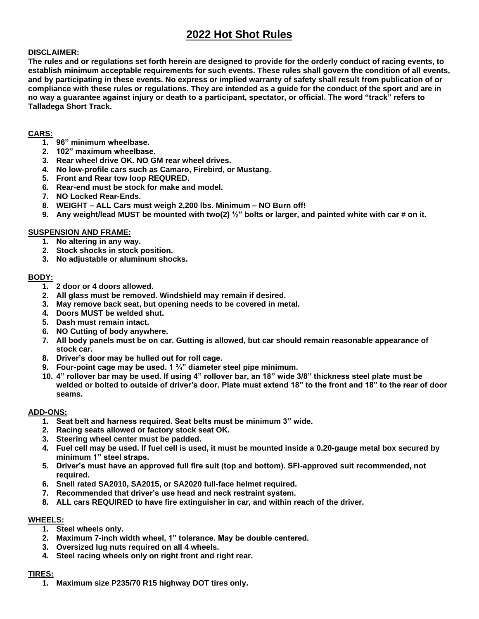# **2022 Hot Shot Rules**

## **DISCLAIMER:**

**The rules and or regulations set forth herein are designed to provide for the orderly conduct of racing events, to establish minimum acceptable requirements for such events. These rules shall govern the condition of all events, and by participating in these events. No express or implied warranty of safety shall result from publication of or compliance with these rules or regulations. They are intended as a guide for the conduct of the sport and are in no way a guarantee against injury or death to a participant, spectator, or official. The word "track" refers to Talladega Short Track.**

## **CARS:**

- **1. 96" minimum wheelbase.**
- **2. 102" maximum wheelbase.**
- **3. Rear wheel drive OK. NO GM rear wheel drives.**
- **4. No low-profile cars such as Camaro, Firebird, or Mustang.**
- **5. Front and Rear tow loop REQURED.**
- **6. Rear-end must be stock for make and model.**
- **7. NO Locked Rear-Ends.**
- **8. WEIGHT – ALL Cars must weigh 2,200 lbs. Minimum – NO Burn off!**
- **9. Any weight/lead MUST be mounted with two(2) ½" bolts or larger, and painted white with car # on it.**

### **SUSPENSION AND FRAME:**

- **1. No altering in any way.**
- **2. Stock shocks in stock position.**
- **3. No adjustable or aluminum shocks.**

# **BODY:**

- **1. 2 door or 4 doors allowed.**
- **2. All glass must be removed. Windshield may remain if desired.**
- **3. May remove back seat, but opening needs to be covered in metal.**
- **4. Doors MUST be welded shut.**
- **5. Dash must remain intact.**
- **6. NO Cutting of body anywhere.**
- **7. All body panels must be on car. Gutting is allowed, but car should remain reasonable appearance of stock car.**
- **8. Driver's door may be hulled out for roll cage.**
- **9. Four-point cage may be used. 1 ¾" diameter steel pipe minimum.**
- **10. 4" rollover bar may be used. If using 4" rollover bar, an 18" wide 3/8" thickness steel plate must be welded or bolted to outside of driver's door. Plate must extend 18" to the front and 18" to the rear of door seams.**

#### **ADD-ONS:**

- **1. Seat belt and harness required. Seat belts must be minimum 3" wide.**
- **2. Racing seats allowed or factory stock seat OK.**
- **3. Steering wheel center must be padded.**
- **4. Fuel cell may be used. If fuel cell is used, it must be mounted inside a 0.20-gauge metal box secured by minimum 1" steel straps.**
- **5. Driver's must have an approved full fire suit (top and bottom). SFI-approved suit recommended, not required.**
- **6. Snell rated SA2010, SA2015, or SA2020 full-face helmet required.**
- **7. Recommended that driver's use head and neck restraint system.**
- **8. ALL cars REQUIRED to have fire extinguisher in car, and within reach of the driver.**

#### **WHEELS:**

- **1. Steel wheels only.**
- **2. Maximum 7-inch width wheel, 1" tolerance. May be double centered.**
- **3. Oversized lug nuts required on all 4 wheels.**
- **4. Steel racing wheels only on right front and right rear.**

# **TIRES:**

**1. Maximum size P235/70 R15 highway DOT tires only.**